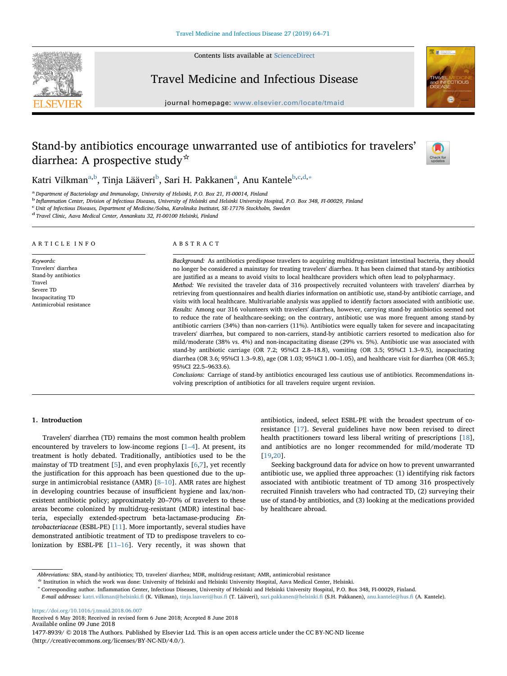Contents lists available at [ScienceDirect](http://www.sciencedirect.com/science/journal/14778939)



Travel Medicine and Infectious Disease



# Stand-by antibiotics encourage unwarranted use of antibiotics for travelers' diarrhea: A prospective study☆



Katri Vilkman<sup>[a,](#page-0-0)[b](#page-0-1)</sup>, Tinj[a](#page-0-0) Lääveri<sup>b</sup>, Sari H. Pakkanen<sup>a</sup>, Anu Kantele<sup>b,[c](#page-0-2),[d](#page-0-3),</sup>\*

<span id="page-0-0"></span><sup>a</sup> Department of Bacteriology and Immunology, University of Helsinki, P.O. Box 21, FI-00014, Finland

<span id="page-0-1"></span><sup>b</sup> Inflammation Center, Division of Infectious Diseases, University of Helsinki and Helsinki University Hospital, P.O. Box 348, FI-00029, Finland

<span id="page-0-2"></span>Unit of Infectious Diseases, Department of Medicine/Solna, Karolinska Institutet, SE-17176 Stockholm, Sweden

<span id="page-0-3"></span><sup>d</sup> Travel Clinic, Aava Medical Center, Annankatu 32, FI-00100 Helsinki, Finland

# ARTICLE INFO

Travel Severe TD Incapacitating TD Antimicrobial resistance

Keywords: Travelers' diarrhea Stand-by antibiotics

# ABSTRACT

Background: As antibiotics predispose travelers to acquiring multidrug-resistant intestinal bacteria, they should no longer be considered a mainstay for treating travelers' diarrhea. It has been claimed that stand-by antibiotics are justified as a means to avoid visits to local healthcare providers which often lead to polypharmacy. Method: We revisited the traveler data of 316 prospectively recruited volunteers with travelers' diarrhea by retrieving from questionnaires and health diaries information on antibiotic use, stand-by antibiotic carriage, and visits with local healthcare. Multivariable analysis was applied to identify factors associated with antibiotic use. Results: Among our 316 volunteers with travelers' diarrhea, however, carrying stand-by antibiotics seemed not to reduce the rate of healthcare-seeking; on the contrary, antibiotic use was more frequent among stand-by antibiotic carriers (34%) than non-carriers (11%). Antibiotics were equally taken for severe and incapacitating travelers' diarrhea, but compared to non-carriers, stand-by antibiotic carriers resorted to medication also for mild/moderate (38% vs. 4%) and non-incapacitating disease (29% vs. 5%). Antibiotic use was associated with stand-by antibiotic carriage (OR 7.2; 95%CI 2.8–18.8), vomiting (OR 3.5; 95%CI 1.3–9.5), incapacitating diarrhea (OR 3.6; 95%CI 1.3–9.8), age (OR 1.03; 95%CI 1.00–1.05), and healthcare visit for diarrhea (OR 465.3; 95%CI 22.5–9633.6).

Conclusions: Carriage of stand-by antibiotics encouraged less cautious use of antibiotics. Recommendations involving prescription of antibiotics for all travelers require urgent revision.

# 1. Introduction

Travelers' diarrhea (TD) remains the most common health problem encountered by travelers to low-income regions [\[1](#page-6-0)–4]. At present, its treatment is hotly debated. Traditionally, antibiotics used to be the mainstay of TD treatment [\[5\]](#page-6-1), and even prophylaxis [[6](#page-6-2),[7](#page-6-3)], yet recently the justification for this approach has been questioned due to the upsurge in antimicrobial resistance (AMR) [8–[10](#page-6-4)]. AMR rates are highest in developing countries because of insufficient hygiene and lax/nonexistent antibiotic policy; approximately 20–70% of travelers to these areas become colonized by multidrug-resistant (MDR) intestinal bacteria, especially extended-spectrum beta-lactamase-producing Enterobacteriaceae (ESBL-PE) [\[11\]](#page-6-5). More importantly, several studies have demonstrated antibiotic treatment of TD to predispose travelers to colonization by ESBL-PE [\[11](#page-6-5)–16]. Very recently, it was shown that antibiotics, indeed, select ESBL-PE with the broadest spectrum of coresistance [[17\]](#page-6-6). Several guidelines have now been revised to direct health practitioners toward less liberal writing of prescriptions [\[18](#page-6-7)], and antibiotics are no longer recommended for mild/moderate TD [[19](#page-6-8)[,20](#page-6-9)].

Seeking background data for advice on how to prevent unwarranted antibiotic use, we applied three approaches: (1) identifying risk factors associated with antibiotic treatment of TD among 316 prospectively recruited Finnish travelers who had contracted TD, (2) surveying their use of stand-by antibiotics, and (3) looking at the medications provided by healthcare abroad.

<https://doi.org/10.1016/j.tmaid.2018.06.007> Received 6 May 2018; Received in revised form 6 June 2018; Accepted 8 June 2018 Available online 09 June 2018

1477-8939/ © 2018 The Authors. Published by Elsevier Ltd. This is an open access article under the CC BY-NC-ND license (http://creativecommons.org/licenses/BY-NC-ND/4.0/).

Abbreviations: SBA, stand-by antibiotics; TD, travelers' diarrhea; MDR, multidrug-resistant; AMR, antimicrobial resistance

<span id="page-0-4"></span><sup>\*</sup> Institution in which the work was done: University of Helsinki and Helsinki University Hospital, Aava Medical Center, Helsinki.<br>\* Corresponding author. Inflammation Center, Infectious Diseases, University of Helsinki and

E-mail addresses: [katri.vilkman@helsinki.](mailto:katri.vilkman@helsinki.fi)fi (K. Vilkman), [tinja.laaveri@hus.](mailto:tinja.laaveri@hus.fi)fi (T. Lääveri), [sari.pakkanen@helsinki.](mailto:sari.pakkanen@helsinki.fi)fi (S.H. Pakkanen), [anu.kantele@hus.](mailto:anu.kantele@hus.fi)fi (A. Kantele).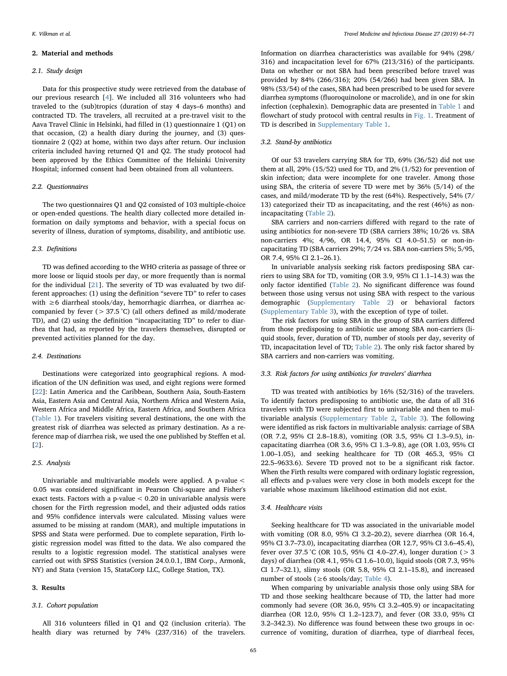#### 2. Material and methods

#### 2.1. Study design

Data for this prospective study were retrieved from the database of our previous research [[4](#page-6-10)]. We included all 316 volunteers who had traveled to the (sub)tropics (duration of stay 4 days–6 months) and contracted TD. The travelers, all recruited at a pre-travel visit to the Aava Travel Clinic in Helsinki, had filled in (1) questionnaire 1 (Q1) on that occasion, (2) a health diary during the journey, and (3) questionnaire 2 (Q2) at home, within two days after return. Our inclusion criteria included having returned Q1 and Q2. The study protocol had been approved by the Ethics Committee of the Helsinki University Hospital; informed consent had been obtained from all volunteers.

# 2.2. Questionnaires

The two questionnaires Q1 and Q2 consisted of 103 multiple-choice or open-ended questions. The health diary collected more detailed information on daily symptoms and behavior, with a special focus on severity of illness, duration of symptoms, disability, and antibiotic use.

#### 2.3. Definitions

TD was defined according to the WHO criteria as passage of three or more loose or liquid stools per day, or more frequently than is normal for the individual [\[21](#page-6-11)]. The severity of TD was evaluated by two different approaches: (1) using the definition "severe TD" to refer to cases with ≥6 diarrheal stools/day, hemorrhagic diarrhea, or diarrhea accompanied by fever (> 37.5 °C) (all others defined as mild/moderate TD), and (2) using the definition "incapacitating TD" to refer to diarrhea that had, as reported by the travelers themselves, disrupted or prevented activities planned for the day.

# 2.4. Destinations

Destinations were categorized into geographical regions. A modification of the UN definition was used, and eight regions were formed [[22\]](#page-6-12): Latin America and the Caribbean, Southern Asia, South-Eastern Asia, Eastern Asia and Central Asia, Northern Africa and Western Asia, Western Africa and Middle Africa, Eastern Africa, and Southern Africa ([Table 1\)](#page-2-0). For travelers visiting several destinations, the one with the greatest risk of diarrhea was selected as primary destination. As a reference map of diarrhea risk, we used the one published by Steffen et al. [[2](#page-6-13)].

## 2.5. Analysis

Univariable and multivariable models were applied. A p-value < 0.05 was considered significant in Pearson Chi-square and Fisher's exact tests. Factors with a p-value < 0.20 in univariable analysis were chosen for the Firth regression model, and their adjusted odds ratios and 95% confidence intervals were calculated. Missing values were assumed to be missing at random (MAR), and multiple imputations in SPSS and Stata were performed. Due to complete separation, Firth logistic regression model was fitted to the data. We also compared the results to a logistic regression model. The statistical analyses were carried out with SPSS Statistics (version 24.0.0.1, IBM Corp., Armonk, NY) and Stata (version 15, StataCorp LLC, College Station, TX).

# 3. Results

# 3.1. Cohort population

All 316 volunteers filled in Q1 and Q2 (inclusion criteria). The health diary was returned by 74% (237/316) of the travelers.

Information on diarrhea characteristics was available for 94% (298/ 316) and incapacitation level for 67% (213/316) of the participants. Data on whether or not SBA had been prescribed before travel was provided by 84% (266/316); 20% (54/266) had been given SBA. In 98% (53/54) of the cases, SBA had been prescribed to be used for severe diarrhea symptoms (fluoroquinolone or macrolide), and in one for skin infection (cephalexin). Demographic data are presented in [Table 1](#page-2-0) and flowchart of study protocol with central results in [Fig. 1.](#page-2-1) Treatment of TD is described in Supplementary Table 1.

# 3.2. Stand-by antibiotics

Of our 53 travelers carrying SBA for TD, 69% (36/52) did not use them at all, 29% (15/52) used for TD, and 2% (1/52) for prevention of skin infection; data were incomplete for one traveler. Among those using SBA, the criteria of severe TD were met by 36% (5/14) of the cases, and mild/moderate TD by the rest (64%). Respectively, 54% (7/ 13) categorized their TD as incapacitating, and the rest (46%) as nonincapacitating [\(Table 2\)](#page-3-0).

SBA carriers and non-carriers differed with regard to the rate of using antibiotics for non-severe TD (SBA carriers 38%; 10/26 vs. SBA non-carriers 4%; 4/96, OR 14.4, 95% CI 4.0–51.5) or non-incapacitating TD (SBA carriers 29%; 7/24 vs. SBA non-carriers 5%; 5/95, OR 7.4, 95% CI 2.1–26.1).

In univariable analysis seeking risk factors predisposing SBA carriers to using SBA for TD, vomiting (OR 3.9, 95% CI 1.1–14.3) was the only factor identified [\(Table 2](#page-3-0)). No significant difference was found between those using versus not using SBA with respect to the various demographic (Supplementary Table 2) or behavioral factors (Supplementary Table 3), with the exception of type of toilet.

The risk factors for using SBA in the group of SBA carriers differed from those predisposing to antibiotic use among SBA non-carriers (liquid stools, fever, duration of TD, number of stools per day, severity of TD, incapacitation level of TD; [Table 2\)](#page-3-0). The only risk factor shared by SBA carriers and non-carriers was vomiting.

# 3.3. Risk factors for using antibiotics for travelers' diarrhea

TD was treated with antibiotics by 16% (52/316) of the travelers. To identify factors predisposing to antibiotic use, the data of all 316 travelers with TD were subjected first to univariable and then to multivariable analysis (Supplementary Table 2, [Table 3](#page-4-0)). The following were identified as risk factors in multivariable analysis: carriage of SBA (OR 7.2, 95% CI 2.8–18.8), vomiting (OR 3.5, 95% CI 1.3–9.5), incapacitating diarrhea (OR 3.6, 95% CI 1.3–9.8), age (OR 1.03, 95% CI 1.00–1.05), and seeking healthcare for TD (OR 465.3, 95% CI 22.5–9633.6). Severe TD proved not to be a significant risk factor. When the Firth results were compared with ordinary logistic regression, all effects and p-values were very close in both models except for the variable whose maximum likelihood estimation did not exist.

# 3.4. Healthcare visits

Seeking healthcare for TD was associated in the univariable model with vomiting (OR 8.0, 95% CI 3.2–20.2), severe diarrhea (OR 16.4, 95% CI 3.7–73.0), incapacitating diarrhea (OR 12.7, 95% CI 3.6–45.4), fever over 37.5 °C (OR 10.5, 95% CI 4.0–27.4), longer duration (> 3 days) of diarrhea (OR 4.1, 95% CI 1.6–10.0), liquid stools (OR 7.3, 95% CI 1.7–32.1), slimy stools (OR 5.8, 95% CI 2.1–15.8), and increased number of stools ( $\geq 6$  stools/day; [Table 4](#page-5-0)).

When comparing by univariable analysis those only using SBA for TD and those seeking healthcare because of TD, the latter had more commonly had severe (OR 36.0, 95% CI 3.2–405.9) or incapacitating diarrhea (OR 12.0, 95% CI 1.2–123.7), and fever (OR 33.0, 95% CI 3.2–342.3). No difference was found between these two groups in occurrence of vomiting, duration of diarrhea, type of diarrheal feces,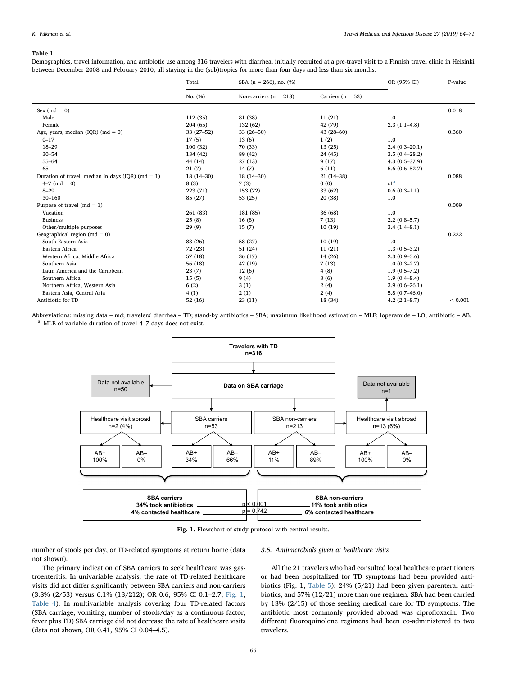<span id="page-2-0"></span>Demographics, travel information, and antibiotic use among 316 travelers with diarrhea, initially recruited at a pre-travel visit to a Finnish travel clinic in Helsinki between December 2008 and February 2010, all staying in the (sub)tropics for more than four days and less than six months.

|                                                       | Total       | SBA ( $n = 266$ ), no. (%) |                       | OR (95% CI)               | P-value     |
|-------------------------------------------------------|-------------|----------------------------|-----------------------|---------------------------|-------------|
|                                                       | No. (%)     | Non-carriers $(n = 213)$   | Carriers ( $n = 53$ ) |                           |             |
| $Sex$ (md = 0)                                        |             |                            |                       |                           | 0.018       |
| Male                                                  | 112(35)     | 81 (38)                    | 11(21)                | 1.0                       |             |
| Female                                                | 204 (65)    | 132 (62)                   | 42 (79)               | $2.3(1.1-4.8)$            |             |
| Age, years, median (IQR) $(md = 0)$                   | $33(27-52)$ | $33(26-50)$                | $43(28-60)$           |                           | 0.360       |
| $0 - 17$                                              | 17(5)       | 13(6)                      | 1(2)                  | 1.0                       |             |
| $18 - 29$                                             | 100(32)     | 70 (33)                    | 13(25)                | $2.4(0.3-20.1)$           |             |
| $30 - 54$                                             | 134 (42)    | 89 (42)                    | 24 (45)               | $3.5(0.4 - 28.2)$         |             |
| $55 - 64$                                             | 44 (14)     | 27(13)                     | 9(17)                 | $4.3(0.5-37.9)$           |             |
| $65 -$                                                | 21(7)       | 14(7)                      | 6(11)                 | $5.6(0.6 - 52.7)$         |             |
| Duration of travel, median in days (IQR) ( $md = 1$ ) | $18(14-30)$ | $18(14-30)$                | $21(14-38)$           |                           | 0.088       |
| $4-7$ (md = 0)                                        | 8(3)        | 7(3)                       | 0(0)                  | $\mathbf{K}$ <sup>a</sup> |             |
| $8 - 29$                                              | 223 (71)    | 153 (72)                   | 33 (62)               | $0.6(0.3-1.1)$            |             |
| $30 - 160$                                            | 85 (27)     | 53 (25)                    | 20 (38)               | 1.0                       |             |
| Purpose of travel $(md = 1)$                          |             |                            |                       |                           | 0.009       |
| Vacation                                              | 261 (83)    | 181 (85)                   | 36 (68)               | 1.0                       |             |
| <b>Business</b>                                       | 25(8)       | 16(8)                      | 7(13)                 | $2.2(0.8-5.7)$            |             |
| Other/multiple purposes                               | 29(9)       | 15(7)                      | 10(19)                | $3.4(1.4 - 8.1)$          |             |
| Geographical region ( $md = 0$ )                      |             |                            |                       |                           | 0.222       |
| South-Eastern Asia                                    | 83 (26)     | 58 (27)                    | 10(19)                | 1.0                       |             |
| Eastern Africa                                        | 72 (23)     | 51 (24)                    | 11(21)                | $1.3(0.5-3.2)$            |             |
| Western Africa, Middle Africa                         | 57 (18)     | 36(17)                     | 14 (26)               | $2.3(0.9-5.6)$            |             |
| Southern Asia                                         | 56 (18)     | 42 (19)                    | 7(13)                 | $1.0(0.3-2.7)$            |             |
| Latin America and the Caribbean                       | 23(7)       | 12(6)                      | 4(8)                  | $1.9(0.5 - 7.2)$          |             |
| Southern Africa                                       | 15(5)       | 9(4)                       | 3(6)                  | $1.9(0.4 - 8.4)$          |             |
| Northern Africa, Western Asia                         | 6(2)        | 3(1)                       | 2(4)                  | $3.9(0.6-26.1)$           |             |
| Eastern Asia, Central Asia                            | 4(1)        | 2(1)                       | 2(4)                  | $5.8(0.7-46.0)$           |             |
| Antibiotic for TD                                     | 52(16)      | 23(11)                     | 18 (34)               | $4.2(2.1 - 8.7)$          | ${}< 0.001$ |

<span id="page-2-2"></span><span id="page-2-1"></span>Abbreviations: missing data – md; travelers' diarrhea – TD; stand-by antibiotics – SBA; maximum likelihood estimation – MLE; loperamide – LO; antibiotic – AB. <sup>a</sup> MLE of variable duration of travel 4–7 days does not exist.



Fig. 1. Flowchart of study protocol with central results.

number of stools per day, or TD-related symptoms at return home (data not shown).

The primary indication of SBA carriers to seek healthcare was gastroenteritis. In univariable analysis, the rate of TD-related healthcare visits did not differ significantly between SBA carriers and non-carriers (3.8% (2/53) versus 6.1% (13/212); OR 0.6, 95% CI 0.1–2.7; [Fig. 1](#page-2-1), [Table 4\)](#page-5-0). In multivariable analysis covering four TD-related factors (SBA carriage, vomiting, number of stools/day as a continuous factor, fever plus TD) SBA carriage did not decrease the rate of healthcare visits (data not shown, OR 0.41, 95% CI 0.04–4.5).

# 3.5. Antimicrobials given at healthcare visits

All the 21 travelers who had consulted local healthcare practitioners or had been hospitalized for TD symptoms had been provided antibiotics (Fig. 1, [Table 5](#page-5-1)): 24% (5/21) had been given parenteral antibiotics, and 57% (12/21) more than one regimen. SBA had been carried by 13% (2/15) of those seeking medical care for TD symptoms. The antibiotic most commonly provided abroad was ciprofloxacin. Two different fluoroquinolone regimens had been co-administered to two travelers.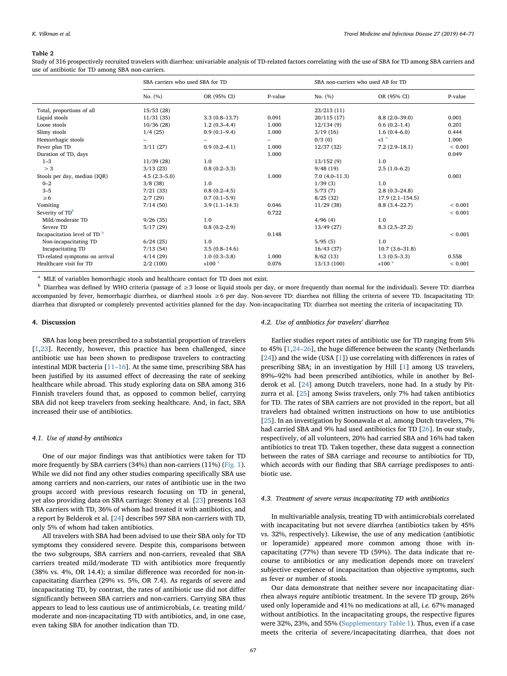<span id="page-3-0"></span>Study of 316 prospectively recruited travelers with diarrhea: univariable analysis of TD-related factors correlating with the use of SBA for TD among SBA carriers and use of antibiotic for TD among SBA non-carriers.

|                                         | SBA carriers who used SBA for TD |                          |         | SBA non-carriers who used AB for TD |                                           |             |
|-----------------------------------------|----------------------------------|--------------------------|---------|-------------------------------------|-------------------------------------------|-------------|
|                                         | No. (%)                          | OR (95% CI)              | P-value | No. (%)                             | OR (95% CI)                               | P-value     |
| Total, proportions of all               | 15/53(28)                        |                          |         | 23/213(11)                          |                                           |             |
| Liquid stools                           | 11/31(35)                        | $3.3(0.8-13.7)$          | 0.091   | 20/115(17)                          | $8.8(2.0-39.0)$                           | 0.001       |
| Loose stools                            | 10/36(28)                        | $1.2(0.3-4.4)$           | 1.000   | 12/134(9)                           | $0.6(0.2-1.4)$                            | 0.201       |
| Slimy stools                            | 1/4(25)                          | $0.9(0.1-9.4)$           | 1.000   | 3/19(16)                            | $1.6(0.4-6.0)$                            | 0.444       |
| Hemorrhagic stools                      |                                  |                          | -       | 0/3(0)                              | $\kappa$ 1 <sup>a</sup>                   | 1.000       |
| Fever plus TD                           | 3/11(27)                         | $0.9(0.2 - 4.1)$         | 1.000   | 12/37(32)                           | $7.2(2.9-18.1)$                           | ${}< 0.001$ |
| Duration of TD, days                    |                                  |                          | 1.000   |                                     |                                           | 0.049       |
| $1 - 3$                                 | 11/39(28)                        | 1.0                      |         | 13/152(9)                           | 1.0                                       |             |
| > 3                                     | 3/13(23)                         | $0.8(0.2 - 3.3)$         |         | 9/48(19)                            | $2.5(1.0-6.2)$                            |             |
| Stools per day, median (IQR)            | $4.5(2.3-5.0)$                   |                          | 1.000   | $7.0(4.0-11.3)$                     |                                           | 0.001       |
| $0 - 2$                                 | 3/8(38)                          | 1.0                      |         | 1/39(3)                             | 1.0                                       |             |
| $3 - 5$                                 | 7/21(33)                         | $0.8(0.2 - 4.5)$         |         | 5/73(7)                             | $2.8(0.3 - 24.8)$                         |             |
| $\geq 6$                                | 2/7(29)                          | $0.7(0.1-5.9)$           |         | 8/25(32)                            | $17.9(2.1 - 154.5)$                       |             |
| Vomiting                                | 7/14(50)                         | $3.9(1.1 - 14.3)$        | 0.046   | 11/29(38)                           | $8.8(3.4 - 22.7)$                         | < 0.001     |
| Severity of TD <sup>b</sup>             |                                  |                          | 0.722   |                                     |                                           | ${}< 0.001$ |
| Mild/moderate TD                        | 9/26(35)                         | 1.0                      |         | 4/96(4)                             | 1.0                                       |             |
| Severe TD                               | 5/17(29)                         | $0.8(0.2-2.9)$           |         | 13/49 (27)                          | $8.3(2.5-27.2)$                           |             |
| Incapacitation level of TD <sup>b</sup> |                                  |                          | 0.148   |                                     |                                           | < 0.001     |
| Non-incapacitating TD                   | 6/24(25)                         | 1.0                      |         | 5/95(5)                             | 1.0                                       |             |
| Incapacitating TD                       | 7/13(54)                         | $3.5(0.8-14.6)$          |         | 16/43(37)                           | $10.7(3.6 - 31.8)$                        |             |
| TD-related symptoms on arrival          | 4/14(29)                         | $1.0(0.3-3.8)$           | 1.000   | 8/62(13)                            | $1.3(0.5-3.3)$                            | 0.558       |
| Healthcare visit for TD                 | 2/2(100)                         | $\lambda$ 100 $^{\rm a}$ | 0.076   | 13/13(100)                          | $\boldsymbol{\mathrm{M}}$ 00 <sup>a</sup> | ${}< 0.001$ |

<span id="page-3-1"></span><sup>a</sup> MLE of variables hemorrhagic stools and healthcare contact for TD does not exist.

<span id="page-3-2"></span><sup>b</sup> Diarrhea was defined by WHO criteria (passage of ≥3 loose or liquid stools per day, or more frequently than normal for the individual). Severe TD: diarrhea accompanied by fever, hemorrhagic diarrhea, or diarrheal stools ≥6 per day. Non-severe TD: diarrhea not filling the criteria of severe TD. Incapacitating TD: diarrhea that disrupted or completely prevented activities planned for the day. Non-incapacitating TD: diarrhea not meeting the criteria of incapacitating TD.

# 4. Discussion

SBA has long been prescribed to a substantial proportion of travelers [[1](#page-6-0),[23\]](#page-6-14). Recently, however, this practice has been challenged, since antibiotic use has been shown to predispose travelers to contracting intestinal MDR bacteria [11–[16\]](#page-6-5). At the same time, prescribing SBA has been justified by its assumed effect of decreasing the rate of seeking healthcare while abroad. This study exploring data on SBA among 316 Finnish travelers found that, as opposed to common belief, carrying SBA did not keep travelers from seeking healthcare. And, in fact, SBA increased their use of antibiotics.

#### 4.1. Use of stand-by antibiotics

One of our major findings was that antibiotics were taken for TD more frequently by SBA carriers (34%) than non-carriers (11%) ([Fig. 1](#page-2-1)). While we did not find any other studies comparing specifically SBA use among carriers and non-carriers, our rates of antibiotic use in the two groups accord with previous research focusing on TD in general, yet also providing data on SBA carriage: Stoney et al. [[23\]](#page-6-14) presents 163 SBA carriers with TD, 36% of whom had treated it with antibiotics, and a report by Belderok et al. [\[24](#page-7-0)] describes 597 SBA non-carriers with TD, only 5% of whom had taken antibiotics.

All travelers with SBA had been advised to use their SBA only for TD symptoms they considered severe. Despite this, comparisons between the two subgroups, SBA carriers and non-carriers, revealed that SBA carriers treated mild/moderate TD with antibiotics more frequently (38% vs. 4%, OR 14.4); a similar difference was recorded for non-incapacitating diarrhea (29% vs. 5%, OR 7.4). As regards of severe and incapacitating TD, by contrast, the rates of antibiotic use did not differ significantly between SBA carriers and non-carriers. Carrying SBA thus appears to lead to less cautious use of antimicrobials, i.e. treating mild/ moderate and non-incapacitating TD with antibiotics, and, in one case, even taking SBA for another indication than TD.

### 4.2. Use of antibiotics for travelers' diarrhea

Earlier studies report rates of antibiotic use for TD ranging from 5% to 45% [[1](#page-6-0),24–[26\]](#page-7-0), the huge difference between the scanty (Netherlands [[24\]](#page-7-0)) and the wide (USA [[1](#page-6-0)]) use correlating with differences in rates of prescribing SBA; in an investigation by Hill [[1](#page-6-0)] among US travelers, 89%–92% had been prescribed antibiotics, while in another by Belderok et al. [\[24](#page-7-0)] among Dutch travelers, none had. In a study by Pitzurra et al. [[25\]](#page-7-1) among Swiss travelers, only 7% had taken antibiotics for TD. The rates of SBA carriers are not provided in the report, but all travelers had obtained written instructions on how to use antibiotics [[25\]](#page-7-1). In an investigation by Soonawala et al. among Dutch travelers, 7% had carried SBA and 9% had used antibiotics for TD [[26\]](#page-7-2). In our study, respectively, of all volunteers, 20% had carried SBA and 16% had taken antibiotics to treat TD. Taken together, these data suggest a connection between the rates of SBA carriage and recourse to antibiotics for TD, which accords with our finding that SBA carriage predisposes to antibiotic use.

#### 4.3. Treatment of severe versus incapacitating TD with antibiotics

In multivariable analysis, treating TD with antimicrobials correlated with incapacitating but not severe diarrhea (antibiotics taken by 45% vs. 32%, respectively). Likewise, the use of any medication (antibiotic or loperamide) appeared more common among those with incapacitating (77%) than severe TD (59%). The data indicate that recourse to antibiotics or any medication depends more on travelers' subjective experience of incapacitation than objective symptoms, such as fever or number of stools.

Our data demonstrate that neither severe nor incapacitating diarrhea always require antibiotic treatment. In the severe TD group, 26% used only loperamide and 41% no medications at all, i.e. 67% managed without antibiotics. In the incapacitating groups, the respective figures were 32%, 23%, and 55% (Supplementary Table 1). Thus, even if a case meets the criteria of severe/incapacitating diarrhea, that does not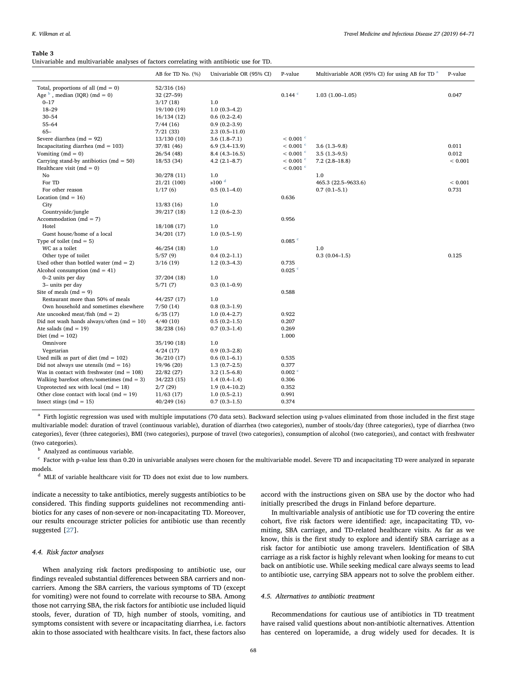<span id="page-4-0"></span>Univariable and multivariable analyses of factors correlating with antibiotic use for TD.

|                                               | AB for TD No. (%) | Univariable OR (95% CI) | P-value                | Multivariable AOR (95% CI) for using AB for TD <sup>a</sup> | P-value     |
|-----------------------------------------------|-------------------|-------------------------|------------------------|-------------------------------------------------------------|-------------|
| Total, proportions of all $(md = 0)$          | 52/316(16)        |                         |                        |                                                             |             |
| Age $b$ , median (IQR) (md = 0)               | 32 (27-59)        |                         | $0.144$ $c$            | $1.03(1.00-1.05)$                                           | 0.047       |
| $0 - 17$                                      | 3/17(18)          | 1.0                     |                        |                                                             |             |
| $18 - 29$                                     | 19/100 (19)       | $1.0(0.3-4.2)$          |                        |                                                             |             |
| $30 - 54$                                     | 16/134 (12)       | $0.6(0.2-2.4)$          |                        |                                                             |             |
| $55 - 64$                                     | 7/44(16)          | $0.9(0.2-3.9)$          |                        |                                                             |             |
| $65 -$                                        | 7/21(33)          | $2.3(0.5-11.0)$         |                        |                                                             |             |
| Severe diarrhea ( $md = 92$ )                 | 13/130(10)        | $3.6(1.8-7.1)$          | $< 0.001$ <sup>c</sup> |                                                             |             |
| Incapacitating diarrhea ( $md = 103$ )        | 37/81 (46)        | $6.9(3.4-13.9)$         | $< 0.001$ <sup>c</sup> | $3.6(1.3 - 9.8)$                                            | 0.011       |
| Vomiting $(md = 0)$                           | 26/54 (48)        | $8.4(4.3-16.5)$         | $<$ 0.001 $\degree$    | $3.5(1.3-9.5)$                                              | 0.012       |
| Carrying stand-by antibiotics ( $md = 50$ )   | 18/53(34)         | $4.2(2.1 - 8.7)$        | $<$ 0.001 $\degree$    | $7.2(2.8-18.8)$                                             | ${}< 0.001$ |
| Healthcare visit ( $md = 0$ )                 |                   |                         | $<$ 0.001 $\degree$    |                                                             |             |
| No                                            | 30/278 (11)       | 1.0                     |                        | 1.0                                                         |             |
| For TD                                        | 21/21 (100)       | $*100$ <sup>d</sup>     |                        | 465.3 (22.5-9633.6)                                         | ${}< 0.001$ |
| For other reason                              | 1/17(6)           | $0.5(0.1-4.0)$          |                        | $0.7(0.1-5.1)$                                              | 0.731       |
| Location ( $md = 16$ )                        |                   |                         | 0.636                  |                                                             |             |
| City                                          | 13/83(16)         | 1.0                     |                        |                                                             |             |
| Countryside/jungle                            | 39/217 (18)       | $1.2(0.6-2.3)$          |                        |                                                             |             |
| Accommodation ( $md = 7$ )                    |                   |                         | 0.956                  |                                                             |             |
| Hotel                                         | 18/108(17)        | 1.0                     |                        |                                                             |             |
| Guest house/home of a local                   | 34/201 (17)       | $1.0(0.5-1.9)$          |                        |                                                             |             |
| Type of toilet $(md = 5)$                     |                   |                         | $0.085$ <sup>c</sup>   |                                                             |             |
| WC as a toilet                                | 46/254 (18)       | 1.0                     |                        | 1.0                                                         |             |
| Other type of toilet                          | 5/57(9)           | $0.4(0.2-1.1)$          |                        | $0.3(0.04-1.5)$                                             | 0.125       |
| Used other than bottled water ( $md = 2$ )    | 3/16(19)          | $1.2(0.3-4.3)$          | 0.735                  |                                                             |             |
| Alcohol consumption ( $md = 41$ )             |                   |                         | $0.025$ $\degree$      |                                                             |             |
| 0-2 units per day                             | 37/204 (18)       | 1.0                     |                        |                                                             |             |
| 3- units per day                              | 5/71(7)           | $0.3(0.1-0.9)$          |                        |                                                             |             |
| Site of meals $(md = 9)$                      |                   |                         | 0.588                  |                                                             |             |
| Restaurant more than 50% of meals             | 44/257 (17)       | 1.0                     |                        |                                                             |             |
| Own household and sometimes elsewhere         | 7/50(14)          | $0.8(0.3-1.9)$          |                        |                                                             |             |
| Ate uncooked meat/fish ( $md = 2$ )           | 6/35(17)          | $1.0(0.4-2.7)$          | 0.922                  |                                                             |             |
| Did not wash hands always/often $(md = 10)$   | 4/40(10)          | $0.5(0.2-1.5)$          | 0.207                  |                                                             |             |
| Ate salads ( $md = 19$ )                      | 38/238 (16)       | $0.7(0.3-1.4)$          | 0.269                  |                                                             |             |
| Diet ( $md = 102$ )                           |                   |                         | 1.000                  |                                                             |             |
| Omnivore                                      | 35/190 (18)       | 1.0                     |                        |                                                             |             |
| Vegetarian                                    | 4/24(17)          | $0.9(0.3-2.8)$          |                        |                                                             |             |
| Used milk as part of diet ( $md = 102$ )      | 36/210 (17)       | $0.6(0.1-6.1)$          | 0.535                  |                                                             |             |
| Did not always use utensils ( $md = 16$ )     | 19/96 (20)        | $1.3(0.7-2.5)$          | 0.377                  |                                                             |             |
| Was in contact with freshwater ( $md = 108$ ) | 22/82 (27)        | $3.2(1.5-6.8)$          | $0.002$ <sup>c</sup>   |                                                             |             |
| Walking barefoot often/sometimes ( $md = 3$ ) | 34/223(15)        | $1.4(0.4-1.4)$          | 0.306                  |                                                             |             |
| Unprotected sex with local ( $md = 18$ )      | 2/7(29)           | $1.9(0.4-10.2)$         | 0.352                  |                                                             |             |
| Other close contact with local ( $md = 19$ )  | 11/63(17)         | $1.0(0.5-2.1)$          | 0.991                  |                                                             |             |
| Insect stings ( $md = 15$ )                   | 40/249 (16)       | $0.7(0.3-1.5)$          | 0.374                  |                                                             |             |

<span id="page-4-1"></span><sup>a</sup> Firth logistic regression was used with multiple imputations (70 data sets). Backward selection using p-values eliminated from those included in the first stage multivariable model: duration of travel (continuous variable), duration of diarrhea (two categories), number of stools/day (three categories), type of diarrhea (two categories), fever (three categories), BMI (two categories), purpose of travel (two categories), consumption of alcohol (two categories), and contact with freshwater (two categories).

<span id="page-4-2"></span>**b** Analyzed as continuous variable.

<span id="page-4-3"></span>Factor with p-value less than 0.20 in univariable analyses were chosen for the multivariable model. Severe TD and incapacitating TD were analyzed in separate models.

<span id="page-4-4"></span> $^{\text{d}}$  MLE of variable healthcare visit for TD does not exist due to low numbers.

indicate a necessity to take antibiotics, merely suggests antibiotics to be considered. This finding supports guidelines not recommending antibiotics for any cases of non-severe or non-incapacitating TD. Moreover, our results encourage stricter policies for antibiotic use than recently suggested [[27\]](#page-7-3).

# 4.4. Risk factor analyses

When analyzing risk factors predisposing to antibiotic use, our findings revealed substantial differences between SBA carriers and noncarriers. Among the SBA carriers, the various symptoms of TD (except for vomiting) were not found to correlate with recourse to SBA. Among those not carrying SBA, the risk factors for antibiotic use included liquid stools, fever, duration of TD, high number of stools, vomiting, and symptoms consistent with severe or incapacitating diarrhea, i.e. factors akin to those associated with healthcare visits. In fact, these factors also accord with the instructions given on SBA use by the doctor who had initially prescribed the drugs in Finland before departure.

In multivariable analysis of antibiotic use for TD covering the entire cohort, five risk factors were identified: age, incapacitating TD, vomiting, SBA carriage, and TD-related healthcare visits. As far as we know, this is the first study to explore and identify SBA carriage as a risk factor for antibiotic use among travelers. Identification of SBA carriage as a risk factor is highly relevant when looking for means to cut back on antibiotic use. While seeking medical care always seems to lead to antibiotic use, carrying SBA appears not to solve the problem either.

#### 4.5. Alternatives to antibiotic treatment

Recommendations for cautious use of antibiotics in TD treatment have raised valid questions about non-antibiotic alternatives. Attention has centered on loperamide, a drug widely used for decades. It is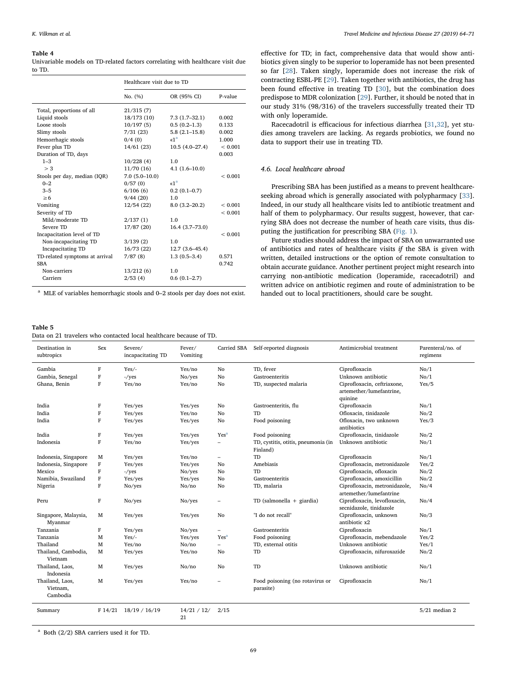<span id="page-5-0"></span>Univariable models on TD-related factors correlating with healthcare visit due to TD.

|                                | Healthcare visit due to TD |                            |              |  |  |
|--------------------------------|----------------------------|----------------------------|--------------|--|--|
|                                | No. (%)                    | OR (95% CI)                | P-value      |  |  |
| Total, proportions of all      | 21/315(7)                  |                            |              |  |  |
| Liquid stools                  | 18/173(10)                 | $7.3(1.7-32.1)$            | 0.002        |  |  |
| Loose stools                   | 10/197(5)                  | $0.5(0.2-1.3)$             | 0.133        |  |  |
| Slimy stools                   | 7/31(23)                   | $5.8(2.1 - 15.8)$          | 0.002        |  |  |
| Hemorrhagic stools             | 0/4(0)                     | $\kappa$ 1 <sup>a</sup>    | 1.000        |  |  |
| Fever plus TD                  | 14/61(23)                  | $10.5(4.0-27.4)$           | ${}< 0.001$  |  |  |
| Duration of TD, days           |                            |                            | 0.003        |  |  |
| $1 - 3$                        | 10/228(4)                  | 1.0                        |              |  |  |
| $>$ 3                          | 11/70(16)                  | $4.1(1.6-10.0)$            |              |  |  |
| Stools per day, median (IQR)   | $7.0(5.0-10.0)$            |                            | ${}_{0.001}$ |  |  |
| $0 - 2$                        | 0/57(0)                    | $\mathbf{u}$ <sup>1a</sup> |              |  |  |
| $3 - 5$                        | 6/106(6)                   | $0.2(0.1-0.7)$             |              |  |  |
| >6                             | 9/44(20)                   | 1.0                        |              |  |  |
| Vomiting                       | 12/54(22)                  | $8.0(3.2 - 20.2)$          | < 0.001      |  |  |
| Severity of TD                 |                            |                            | ${}< 0.001$  |  |  |
| Mild/moderate TD               | 2/137(1)                   | 1.0                        |              |  |  |
| Severe TD                      | 17/87 (20)                 | $16.4(3.7-73.0)$           |              |  |  |
| Incapacitation level of TD     |                            |                            | < 0.001      |  |  |
| Non-incapacitating TD          | 3/139(2)                   | 1.0                        |              |  |  |
| Incapacitating TD              | 16/73(22)                  | $12.7(3.6-45.4)$           |              |  |  |
| TD-related symptoms at arrival | 7/87(8)                    | $1.3(0.5-3.4)$             | 0.571        |  |  |
| <b>SBA</b>                     |                            |                            | 0.742        |  |  |
| Non-carriers                   | 13/212(6)                  | 1.0                        |              |  |  |
| Carriers                       | 2/53(4)                    | $0.6(0.1-2.7)$             |              |  |  |
|                                |                            |                            |              |  |  |

<span id="page-5-2"></span><sup>a</sup> MLE of variables hemorrhagic stools and 0–2 stools per day does not exist.

# <span id="page-5-1"></span>Table 5

Data on 21 travelers who contacted local healthcare because of TD.

effective for TD; in fact, comprehensive data that would show antibiotics given singly to be superior to loperamide has not been presented so far [\[28](#page-7-4)]. Taken singly, loperamide does not increase the risk of contracting ESBL-PE [[29\]](#page-7-5). Taken together with antibiotics, the drug has been found effective in treating TD [[30\]](#page-7-6), but the combination does predispose to MDR colonization [\[29](#page-7-5)]. Further, it should be noted that in our study 31% (98/316) of the travelers successfully treated their TD with only loperamide.

Racecadotril is efficacious for infectious diarrhea [[31](#page-7-7)[,32](#page-7-8)], yet studies among travelers are lacking. As regards probiotics, we found no data to support their use in treating TD.

# 4.6. Local healthcare abroad

Prescribing SBA has been justified as a means to prevent healthcareseeking abroad which is generally associated with polypharmacy [\[33](#page-7-9)]. Indeed, in our study all healthcare visits led to antibiotic treatment and half of them to polypharmacy. Our results suggest, however, that carrying SBA does not decrease the number of heath care visits, thus disputing the justification for prescribing SBA [\(Fig. 1\)](#page-2-1).

Future studies should address the impact of SBA on unwarranted use of antibiotics and rates of healthcare visits if the SBA is given with written, detailed instructions or the option of remote consultation to obtain accurate guidance. Another pertinent project might research into carrying non-antibiotic medication (loperamide, racecadotril) and written advice on antibiotic regimen and route of administration to be handed out to local practitioners, should care be sought.

| Destination in<br>subtropics            | Sex          | Severe/<br>incapacitating TD | Fever/<br>Vomiting |                          | Carried SBA Self-reported diagnosis             | Antimicrobial treatment                                            | Parenteral/no. of<br>regimens |
|-----------------------------------------|--------------|------------------------------|--------------------|--------------------------|-------------------------------------------------|--------------------------------------------------------------------|-------------------------------|
| Gambia                                  | F            | $Yes/-$                      | Yes/no             | No                       | TD, fever                                       | Ciprofloxacin                                                      | No/1                          |
| Gambia, Senegal                         | $\rm F$      | -/yes                        | No/yes             | No                       | Gastroenteritis                                 | Unknown antibiotic                                                 | No/1                          |
| Ghana, Benin                            | $\rm F$      | Yes/no                       | Yes/no             | No                       | TD, suspected malaria                           | Ciprofloxacin, ceftriaxone,<br>artemether/lumefantrine,<br>quinine | Yes/5                         |
| India                                   | F            | Yes/yes                      | Yes/yes            | No                       | Gastroenteritis, flu                            | Ciprofloxacin                                                      | No/1                          |
| India                                   | F            | Yes/yes                      | Yes/no             | No                       | <b>TD</b>                                       | Ofloxacin, tinidazole                                              | No/2                          |
| India                                   | F            | Yes/yes                      | Yes/yes            | No                       | Food poisoning                                  | Ofloxacin, two unknown<br>antibiotics                              | Yes/3                         |
| India                                   | F            | Yes/yes                      | Yes/yes            | Yes <sup>a</sup>         | Food poisoning                                  | Ciprofloxacin, tinidazole                                          | No/2                          |
| Indonesia                               | F            | Yes/no                       | Yes/yes            | -                        | TD, cystitis, otitis, pneumonia (in<br>Finland) | Unknown antibiotic                                                 | No/1                          |
| Indonesia, Singapore                    | М            | Yes/yes                      | Yes/no             | $\overline{\phantom{a}}$ | <b>TD</b>                                       | Ciprofloxacin                                                      | No/1                          |
| Indonesia, Singapore                    | F            | Yes/yes                      | Yes/yes            | No                       | Amebiasis                                       | Ciprofloxacin, metronidazole                                       | Yes/2                         |
| Mexico                                  | $\rm F$      | -/yes                        | No/yes             | No                       | <b>TD</b>                                       | Ciprofloxacin, ofloxacin                                           | No/2                          |
| Namibia. Swaziland                      | $\rm F$      | Yes/yes                      | Yes/yes            | No                       | Gastroenteritis                                 | Ciprofloxacin, amoxicillin                                         | No/2                          |
| Nigeria                                 | F            | No/yes                       | No/no              | No                       | TD, malaria                                     | Ciprofloxacin, metronidazole,<br>artemether/lumefantrine           | No/4                          |
| Peru                                    | $\rm F$      | No/yes                       | No/yes             | $\overline{\phantom{m}}$ | TD (salmonella $+$ giardia)                     | Ciprofloxacin, levofloxacin,<br>secnidazole, tinidazole            | No/4                          |
| Singapore, Malaysia,<br>Myanmar         | М            | Yes/yes                      | Yes/yes            | No                       | "I do not recall"                               | Ciprofloxacin, unknown<br>antibiotic x2                            | No/3                          |
| Tanzania                                | F            | Yes/yes                      | No/yes             | $\overline{\phantom{a}}$ | Gastroenteritis                                 | Ciprofloxacin                                                      | No/1                          |
| Tanzania                                | M            | $Yes/-$                      | Yes/yes            | Yes <sup>a</sup>         | Food poisoning                                  | Ciprofloxacin, mebendazole                                         | Yes/2                         |
| Thailand                                | M            | Yes/no                       | No/no              | ÷,                       | TD, external otitis                             | Unknown antibiotic                                                 | Yes/1                         |
| Thailand, Cambodia,<br>Vietnam          | M            | Yes/yes                      | Yes/no             | No                       | TD                                              | Ciprofloxacin, nifuroxazide                                        | No/2                          |
| Thailand, Laos,<br>Indonesia            | М            | Yes/yes                      | No/no              | No                       | TD                                              | Unknown antibiotic                                                 | No/1                          |
| Thailand, Laos,<br>Vietnam,<br>Cambodia | $\mathbf{M}$ | Yes/yes                      | Yes/no             | L.                       | Food poisoning (no rotavirus or<br>parasite)    | Ciprofloxacin                                                      | No/1                          |
| Summary                                 | F14/21       | 18/19 / 16/19                | 14/21 / 12/<br>21  | 2/15                     |                                                 |                                                                    | $5/21$ median 2               |

<span id="page-5-3"></span><sup>a</sup> Both (2/2) SBA carriers used it for TD.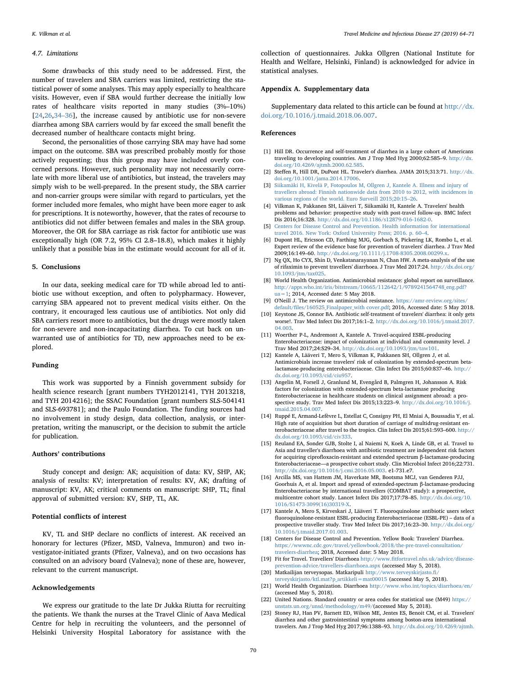# 4.7. Limitations

Some drawbacks of this study need to be addressed. First, the number of travelers and SBA carriers was limited, restricting the statistical power of some analyses. This may apply especially to healthcare visits. However, even if SBA would further decrease the initially low rates of healthcare visits reported in many studies (3%–10%) [[24](#page-7-0)[,26](#page-7-2)[,34](#page-7-10)–36], the increase caused by antibiotic use for non-severe diarrhea among SBA carriers would by far exceed the small benefit the decreased number of healthcare contacts might bring.

Second, the personalities of those carrying SBA may have had some impact on the outcome. SBA was prescribed probably mostly for those actively requesting; thus this group may have included overly concerned persons. However, such personality may not necessarily correlate with more liberal use of antibiotics, but instead, the travelers may simply wish to be well-prepared. In the present study, the SBA carrier and non-carrier groups were similar with regard to particulars, yet the former included more females, who might have been more eager to ask for prescriptions. It is noteworthy, however, that the rates of recourse to antibiotics did not differ between females and males in the SBA group. Moreover, the OR for SBA carriage as risk factor for antibiotic use was exceptionally high (OR 7.2, 95% CI 2.8–18.8), which makes it highly unlikely that a possible bias in the estimate would account for all of it.

#### 5. Conclusions

In our data, seeking medical care for TD while abroad led to antibiotic use without exception, and often to polypharmacy. However, carrying SBA appeared not to prevent medical visits either. On the contrary, it encouraged less cautious use of antibiotics. Not only did SBA carriers resort more to antibiotics, but the drugs were mostly taken for non-severe and non-incapacitating diarrhea. To cut back on unwarranted use of antibiotics for TD, new approaches need to be explored.

# Funding

This work was supported by a Finnish government subsidy for health science research [grant numbers TYH2012141, TYH 2013218, and TYH 2014216]; the SSAC Foundation [grant numbers SLS-504141 and SLS-693781]; and the Paulo Foundation. The funding sources had no involvement in study design, data collection, analysis, or interpretation, writing the manuscript, or the decision to submit the article for publication.

# Authors' contributions

Study concept and design: AK; acquisition of data: KV, SHP, AK; analysis of results: KV; interpretation of results: KV, AK; drafting of manuscript: KV, AK; critical comments on manuscript: SHP, TL; final approval of submitted version: KV, SHP, TL, AK.

# Potential conflicts of interest

KV, TL and SHP declare no conflicts of interest. AK received an honorary for lectures (Pfizer, MSD, Valneva, Immuron) and two investigator-initiated grants (Pfizer, Valneva), and on two occasions has consulted on an advisory board (Valneva); none of these are, however, relevant to the current manuscript.

#### Acknowledgements

We express our gratitude to the late Dr Jukka Riutta for recruiting the patients. We thank the nurses at the Travel Clinic of Aava Medical Centre for help in recruiting the volunteers, and the personnel of Helsinki University Hospital Laboratory for assistance with the

collection of questionnaires. Jukka Ollgren (National Institute for Health and Welfare, Helsinki, Finland) is acknowledged for advice in statistical analyses.

#### Appendix A. Supplementary data

Supplementary data related to this article can be found at  $\frac{http://dx.}{$  $\frac{http://dx.}{$  $\frac{http://dx.}{$ [doi.org/10.1016/j.tmaid.2018.06.007.](http://dx.doi.org/10.1016/j.tmaid.2018.06.007)

# References

- <span id="page-6-0"></span>[1] Hill DR. Occurrence and self-treatment of diarrhea in a large cohort of Americans traveling to developing countries. Am J Trop Med Hyg 2000;62:585–9. [http://dx.](http://dx.doi.org/10.4269/ajtmh.2000.62.585) [doi.org/10.4269/ajtmh.2000.62.585.](http://dx.doi.org/10.4269/ajtmh.2000.62.585)
- <span id="page-6-13"></span>[2] Steffen R, Hill DR, DuPont HL. Traveler's diarrhea. JAMA 2015;313:71. [http://dx.](http://dx.doi.org/10.1001/jama.2014.17006) [doi.org/10.1001/jama.2014.17006.](http://dx.doi.org/10.1001/jama.2014.17006)
- [3] [Siikamäki H, Kivelä P, Fotopoulos M, Ollgren J, Kantele A. Illness and injury of](http://refhub.elsevier.com/S1477-8939(18)30140-6/sref3) [travellers abroad: Finnish nationwide data from 2010 to 2012, with incidences in](http://refhub.elsevier.com/S1477-8939(18)30140-6/sref3) [various regions of the world. Euro Surveill 2015;20:15](http://refhub.elsevier.com/S1477-8939(18)30140-6/sref3)–26.
- <span id="page-6-10"></span>[4] Vilkman K, Pakkanen SH, Lääveri T, Siikamäki H, Kantele A. Travelers' health problems and behavior: prospective study with post-travel follow-up. BMC Infect Dis 2016;16:328. [http://dx.doi.org/10.1186/s12879-016-1682-0.](http://dx.doi.org/10.1186/s12879-016-1682-0)
- <span id="page-6-1"></span>[5] [Centers for Disease Control and Prevention. Health information for international](http://refhub.elsevier.com/S1477-8939(18)30140-6/sref5) [travel 2016. New York: Oxford University Press; 2016. p. 60](http://refhub.elsevier.com/S1477-8939(18)30140-6/sref5)–4.
- <span id="page-6-2"></span>[6] Dupont HL, Ericsson CD, Farthing MJG, Gorbach S, Pickering LK, Rombo L, et al. Expert review of the evidence base for prevention of travelers' diarrhea. J Trav Med 2009;16:149–60. [http://dx.doi.org/10.1111/j.1708-8305.2008.00299.x.](http://dx.doi.org/10.1111/j.1708-8305.2008.00299.x)
- <span id="page-6-3"></span>[7] Ng QX, Ho CYX, Shin D, Venkatanarayanan N, Chan HW. A meta-analysis of the use of rifaximin to prevent travellers' diarrhoea. J Trav Med 2017:24. [http://dx.doi.org/](http://dx.doi.org/10.1093/jtm/tax025) [10.1093/jtm/tax025.](http://dx.doi.org/10.1093/jtm/tax025)
- <span id="page-6-4"></span>[8] World Health Organization. Antimicrobial resistance: global report on surveillance. [http://apps.who.int/iris/bitstream/10665/112642/1/9789241564748\\_eng.pdf?](http://apps.who.int/iris/bitstream/10665/112642/1/9789241564748_eng.pdf?ua=1)  $ua=1$ ; 2014, Accessed date: 5 May 2018.
- [9] O'Neill J. The review on antimicrobial resistance. [https://amr-review.org/sites/](https://amr-review.org/sites/default/files/160525_Finalpaper_with%20cover.pdf)
- default/fi[les/160525\\_Finalpaper\\_with cover.pdf](https://amr-review.org/sites/default/files/160525_Finalpaper_with%20cover.pdf); 2016, Accessed date: 5 May 2018. [10] Keystone JS, Connor BA. Antibiotic self-treatment of travelers' diarrhea: it only gets worse!. Trav Med Infect Dis 2017;16:1–2. [http://dx.doi.org/10.1016/j.tmaid.2017.](http://dx.doi.org/10.1016/j.tmaid.2017.04.003) [04.003.](http://dx.doi.org/10.1016/j.tmaid.2017.04.003)
- <span id="page-6-5"></span>[11] Woerther P-L, Andremont A, Kantele A. Travel-acquired ESBL-producing Enterobacteriaceae: impact of colonization at individual and community level. J Trav Med 2017;24:S29–34. [http://dx.doi.org/10.1093/jtm/taw101.](http://dx.doi.org/10.1093/jtm/taw101)
- [12] Kantele A, Lääveri T, Mero S, Vilkman K, Pakkanen SH, Ollgren J, et al. Antimicrobials increase travelers' risk of colonization by extended-spectrum betalactamase-producing enterobacteriaceae. Clin Infect Dis 2015;60:837–46. [http://](http://dx.doi.org/10.1093/cid/ciu957) [dx.doi.org/10.1093/cid/ciu957.](http://dx.doi.org/10.1093/cid/ciu957)
- [13] Angelin M, Forsell J, Granlund M, Evengård B, Palmgren H, Johansson A. Risk factors for colonization with extended-spectrum beta-lactamase producing Enterobacteriaceae in healthcare students on clinical assignment abroad: a prospective study. Trav Med Infect Dis 2015;13:223–9. [http://dx.doi.org/10.1016/j.](http://dx.doi.org/10.1016/j.tmaid.2015.04.007) [tmaid.2015.04.007.](http://dx.doi.org/10.1016/j.tmaid.2015.04.007)
- [14] Ruppé E, Armand-Lefèvre L, Estellat C, Consigny PH, El Mniai A, Boussadia Y, et al. High rate of acquisition but short duration of carriage of multidrug-resistant enterobacteriaceae after travel to the tropics. Clin Infect Dis 2015;61:593–600. [http://](http://dx.doi.org/10.1093/cid/civ333) [dx.doi.org/10.1093/cid/civ333.](http://dx.doi.org/10.1093/cid/civ333)
- [15] Reuland EA, Sonder GJB, Stolte I, al Naiemi N, Koek A, Linde GB, et al. Travel to Asia and traveller's diarrhoea with antibiotic treatment are independent risk factors for acquiring ciprofloxacin-resistant and extended spectrum β-lactamase-producing Enterobacteriaceae—a prospective cohort study. Clin Microbiol Infect 2016;22:731. [http://dx.doi.org/10.1016/j.cmi.2016.05.003.](http://dx.doi.org/10.1016/j.cmi.2016.05.003) e1-731.e7.
- [16] Arcilla MS, van Hattem JM, Haverkate MR, Bootsma MCJ, van Genderen PJJ, Goorhuis A, et al. Import and spread of extended-spectrum β-lactamase-producing Enterobacteriaceae by international travellers (COMBAT study): a prospective, multicentre cohort study. Lancet Infect Dis 2017;17:78–85. [http://dx.doi.org/10.](http://dx.doi.org/10.1016/S1473-3099(16)30319-X) [1016/S1473-3099\(16\)30319-X.](http://dx.doi.org/10.1016/S1473-3099(16)30319-X)
- <span id="page-6-6"></span>[17] Kantele A, Mero S, Kirveskari J, Lääveri T. Fluoroquinolone antibiotic users select fluoroquinolone-resistant ESBL-producing Enterobacteriaceae (ESBL-PE) – data of a prospective traveller study. Trav Med Infect Dis 2017;16:23–30. [http://dx.doi.org/](http://dx.doi.org/10.1016/j.tmaid.2017.01.003) [10.1016/j.tmaid.2017.01.003.](http://dx.doi.org/10.1016/j.tmaid.2017.01.003)
- <span id="page-6-7"></span>[18] Centers for Disease Control and Prevention. Yellow Book: Travelers' Diarrhea. [https://wwwnc.cdc.gov/travel/yellowbook/2018/the-pre-travel-consultation/](https://wwwnc.cdc.gov/travel/yellowbook/2018/the-pre-travel-consultation/travelers-diarrhea) [travelers-diarrhea](https://wwwnc.cdc.gov/travel/yellowbook/2018/the-pre-travel-consultation/travelers-diarrhea); 2018, Accessed date: 5 May 2018.
- <span id="page-6-8"></span>[19] Fit for Travel. Travellers' Diarrhoea http://www.fi[tfortravel.nhs.uk/advice/disease](http://www.fitfortravel.nhs.uk/advice/disease-prevention-advice/travellers-diarrhoea.aspx)[prevention-advice/travellers-diarrhoea.aspx](http://www.fitfortravel.nhs.uk/advice/disease-prevention-advice/travellers-diarrhoea.aspx) (accessed May 5, 2018).
- <span id="page-6-9"></span>[20] Matkailijan terveysopas. Matkaripuli [http://www.terveyskirjasto.](http://www.terveyskirjasto.fi/terveyskirjasto/ktl.mat?p_artikkeli=mat00015)fi/ [terveyskirjasto/ktl.mat?p\\_artikkeli=mat00015](http://www.terveyskirjasto.fi/terveyskirjasto/ktl.mat?p_artikkeli=mat00015) (accessed May 5, 2018).
- <span id="page-6-11"></span>[21] World Health Organization. Diarrhoea <http://www.who.int/topics/diarrhoea/en/> (accessed May 5, 2018).
- <span id="page-6-12"></span>[22] United Nations. Standard country or area codes for statistical use (M49) [https://](https://unstats.un.org/unsd/methodology/m49/) [unstats.un.org/unsd/methodology/m49/\(](https://unstats.un.org/unsd/methodology/m49/)accessed May 5, 2018).
- <span id="page-6-14"></span>[23] Stoney RJ, Han PV, Barnett ED, Wilson ME, Jentes ES, Benoit CM, et al. Travelers' diarrhea and other gastrointestinal symptoms among boston-area international travelers. Am J Trop Med Hyg 2017;96:1388–93. [http://dx.doi.org/10.4269/ajtmh.](http://dx.doi.org/10.4269/ajtmh.16-0447)